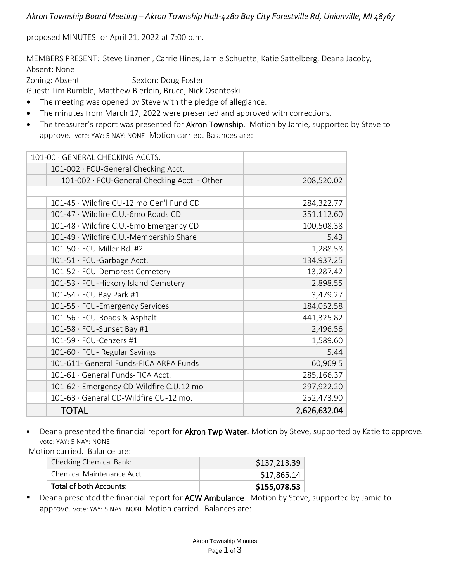*Akron Township Board Meeting – Akron Township Hall-4280 Bay City Forestville Rd, Unionville, MI 48767*

proposed MINUTES for April 21, 2022 at 7:00 p.m.

MEMBERS PRESENT: Steve Linzner , Carrie Hines, Jamie Schuette, Katie Sattelberg, Deana Jacoby, Absent: None

Zoning: Absent Sexton: Doug Foster

Guest: Tim Rumble, Matthew Bierlein, Bruce, Nick Osentoski

- The meeting was opened by Steve with the pledge of allegiance.
- The minutes from March 17, 2022 were presented and approved with corrections.
- The treasurer's report was presented for Akron Township. Motion by Jamie, supported by Steve to approve. vote: YAY: 5 NAY: NONE Motion carried. Balances are:

| 101-00 GENERAL CHECKING ACCTS.               |              |
|----------------------------------------------|--------------|
| 101-002 · FCU-General Checking Acct.         |              |
| 101-002 · FCU-General Checking Acct. - Other | 208,520.02   |
|                                              |              |
| 101-45 · Wildfire CU-12 mo Gen'l Fund CD     | 284,322.77   |
| 101-47 · Wildfire C.U.-6mo Roads CD          | 351,112.60   |
| 101-48 · Wildfire C.U.-6mo Emergency CD      | 100,508.38   |
| 101-49 · Wildfire C.U.-Membership Share      | 5.43         |
| $101-50 \cdot FCU$ Miller Rd. #2             | 1,288.58     |
| 101-51 · FCU-Garbage Acct.                   | 134,937.25   |
| 101-52 · FCU-Demorest Cemetery               | 13,287.42    |
| 101-53 · FCU-Hickory Island Cemetery         | 2,898.55     |
| 101-54 · FCU Bay Park #1                     | 3,479.27     |
| 101-55 · FCU-Emergency Services              | 184,052.58   |
| 101-56 · FCU-Roads & Asphalt                 | 441,325.82   |
| 101-58 · FCU-Sunset Bay #1                   | 2,496.56     |
| 101-59 · FCU-Cenzers #1                      | 1,589.60     |
| 101-60 · FCU- Regular Savings                | 5.44         |
| 101-611- General Funds-FICA ARPA Funds       | 60,969.5     |
| 101-61 · General Funds-FICA Acct.            | 285,166.37   |
| 101-62 · Emergency CD-Wildfire C.U.12 mo     | 297,922.20   |
| 101-63 · General CD-Wildfire CU-12 mo.       | 252,473.90   |
| <b>TOTAL</b>                                 | 2,626,632.04 |

Deana presented the financial report for Akron Twp Water. Motion by Steve, supported by Katie to approve. vote: YAY: 5 NAY: NONE

Motion carried. Balance are:

| Checking Chemical Bank:   | \$137,213.39 |
|---------------------------|--------------|
| Chemical Maintenance Acct | \$17,865.14  |
| Total of both Accounts:   | \$155,078.53 |

■ Deana presented the financial report for ACW Ambulance. Motion by Steve, supported by Jamie to approve. vote: YAY: 5 NAY: NONE Motion carried. Balances are: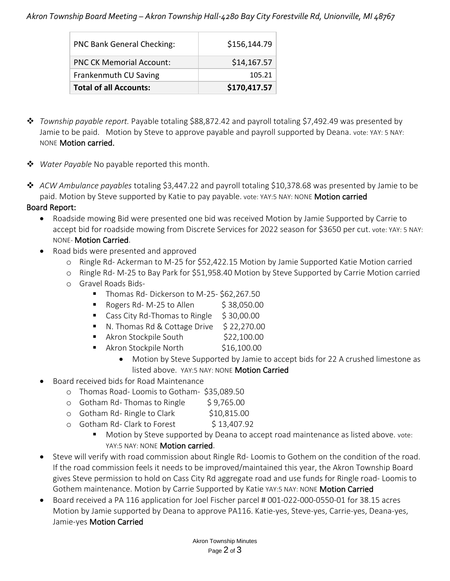## *Akron Township Board Meeting – Akron Township Hall-4280 Bay City Forestville Rd, Unionville, MI 48767*

| <b>PNC Bank General Checking:</b> | \$156,144.79 |
|-----------------------------------|--------------|
| <b>PNC CK Memorial Account:</b>   | \$14,167.57  |
| Frankenmuth CU Saving             | 105.21       |
| <b>Total of all Accounts:</b>     | \$170,417.57 |

- ❖ *Township payable report.* Payable totaling \$88,872.42 and payroll totaling \$7,492.49 was presented by Jamie to be paid. Motion by Steve to approve payable and payroll supported by Deana. vote: YAY: 5 NAY: NONE Motion carried.
- ❖ *Water Payable* No payable reported this month.
- ❖ *ACW Ambulance payables* totaling \$3,447.22 and payroll totaling \$10,378.68 was presented by Jamie to be paid. Motion by Steve supported by Katie to pay payable. vote: YAY:5 NAY: NONE Motion carried

## Board Report:

- Roadside mowing Bid were presented one bid was received Motion by Jamie Supported by Carrie to accept bid for roadside mowing from Discrete Services for 2022 season for \$3650 per cut. vote: YAY: 5 NAY: NONE- Motion Carried.
- Road bids were presented and approved
	- o Ringle Rd- Ackerman to M-25 for \$52,422.15 Motion by Jamie Supported Katie Motion carried
	- o Ringle Rd- M-25 to Bay Park for \$51,958.40 Motion by Steve Supported by Carrie Motion carried
	- o Gravel Roads Bids-
		- Thomas Rd- Dickerson to M-25-\$62,267.50
		- $\blacksquare$  Rogers Rd- M-25 to Allen  $\lesssim$  38,050.00
		- Cass City Rd-Thomas to Ringle \$30,00.00
		- $\blacksquare$  N. Thomas Rd & Cottage Drive  $\lesssim$  22,270.00
		- Akron Stockpile South \$22,100.00
		- Akron Stockpile North \$16,100.00
			- Motion by Steve Supported by Jamie to accept bids for 22 A crushed limestone as listed above. YAY:5 NAY: NONE Motion Carried
- Board received bids for Road Maintenance
	- o Thomas Road- Loomis to Gotham- \$35,089.50
	- $\circ$  Gotham Rd-Thomas to Ringle  $\circ$  \$9,765.00
	- o Gotham Rd- Ringle to Clark \$10,815.00
	- o Gotham Rd- Clark to Forest \$13,407.92
		- Motion by Steve supported by Deana to accept road maintenance as listed above. vote: YAY: 5 NAY: NONE **Motion carried.**
- Steve will verify with road commission about Ringle Rd- Loomis to Gothem on the condition of the road. If the road commission feels it needs to be improved/maintained this year, the Akron Township Board gives Steve permission to hold on Cass City Rd aggregate road and use funds for Ringle road- Loomis to Gothem maintenance. Motion by Carrie Supported by Katie YAY:5 NAY: NONE Motion Carried
- Board received a PA 116 application for Joel Fischer parcel # 001-022-000-0550-01 for 38.15 acres Motion by Jamie supported by Deana to approve PA116. Katie-yes, Steve-yes, Carrie-yes, Deana-yes, Jamie-yes Motion Carried